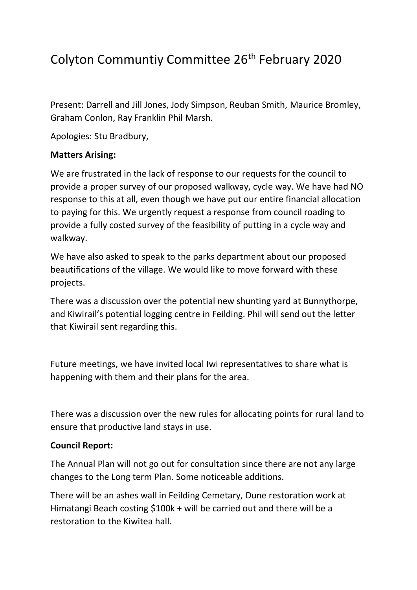## Colyton Communtiy Committee 26<sup>th</sup> February 2020

Present: Darrell and Jill Jones, Jody Simpson, Reuban Smith, Maurice Bromley, Graham Conlon, Ray Franklin Phil Marsh.

Apologies: Stu Bradbury,

## **Matters Arising:**

We are frustrated in the lack of response to our requests for the council to provide a proper survey of our proposed walkway, cycle way. We have had NO response to this at all, even though we have put our entire financial allocation to paying for this. We urgently request a response from council roading to provide a fully costed survey of the feasibility of putting in a cycle way and walkway.

We have also asked to speak to the parks department about our proposed beautifications of the village. We would like to move forward with these projects.

There was a discussion over the potential new shunting yard at Bunnythorpe, and Kiwirail's potential logging centre in Feilding. Phil will send out the letter that Kiwirail sent regarding this.

Future meetings, we have invited local Iwi representatives to share what is happening with them and their plans for the area.

There was a discussion over the new rules for allocating points for rural land to ensure that productive land stays in use.

## **Council Report:**

The Annual Plan will not go out for consultation since there are not any large changes to the Long term Plan. Some noticeable additions.

There will be an ashes wall in Feilding Cemetary, Dune restoration work at Himatangi Beach costing \$100k + will be carried out and there will be a restoration to the Kiwitea hall.